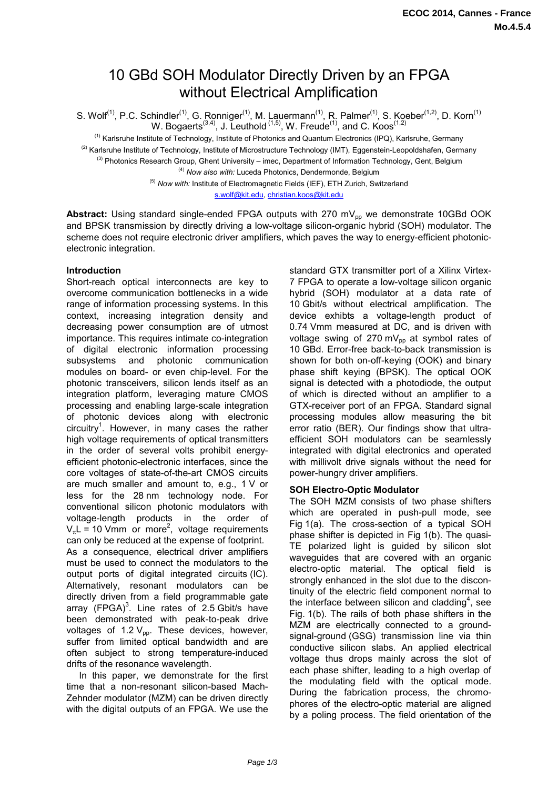# 10 GBd SOH Modulator Directly Driven by an FPGA without Electrical Amplification

S. Wolf<sup>(1)</sup>, P.C. Schindler<sup>(1)</sup>, G. Ronniger<sup>(1)</sup>, M. Lauermann<sup>(1)</sup>, R. Palmer<sup>(1)</sup>, S. Koeber<sup>(1,2)</sup>, D. Korn<sup>(1)</sup> W. Bogaerts<sup>(3,4)</sup>, J. Leuthold<sup>(1,5)</sup>, W. Freude<sup>(1)</sup>, and C. Koos<sup>(1,2)</sup>

(1) Karlsruhe Institute of Technology, Institute of Photonics and Quantum Electronics (IPQ), Karlsruhe, Germany <sup>(2)</sup> Karlsruhe Institute of Technology, Institute of Microstructure Technology (IMT), Eggenstein-Leopoldshafen, Germany <sup>(3)</sup> Photonics Research Group, Ghent University – imec, Department of Information Technology, Gent, Belgium

(4) *Now also with:* Luceda Photonics, Dendermonde, Belgium

<sup>(5)</sup> Now with: Institute of Electromagnetic Fields (IEF), ETH Zurich, Switzerland s.wolf@kit.edu, christian.koos@kit.edu

Abstract: Using standard single-ended FPGA outputs with 270 mV<sub>pp</sub> we demonstrate 10GBd OOK and BPSK transmission by directly driving a low-voltage silicon-organic hybrid (SOH) modulator. The scheme does not require electronic driver amplifiers, which paves the way to energy-efficient photonicelectronic integration.

## **Introduction**

Short-reach optical interconnects are key to overcome communication bottlenecks in a wide range of information processing systems. In this context, increasing integration density and decreasing power consumption are of utmost importance. This requires intimate co-integration of digital electronic information processing subsystems and photonic communication modules on board- or even chip-level. For the photonic transceivers, silicon lends itself as an integration platform, leveraging mature CMOS processing and enabling large-scale integration of photonic devices along with electronic circuitry<sup>1</sup>. However, in many cases the rather high voltage requirements of optical transmitters in the order of several volts prohibit energyefficient photonic-electronic interfaces, since the core voltages of state-of-the-art CMOS circuits are much smaller and amount to, e.g., 1 V or less for the 28 nm technology node. For conventional silicon photonic modulators with voltage-length products in the order of  $V_{\pi}L = 10$  Vmm or more<sup>2</sup>, voltage requirements can only be reduced at the expense of footprint. As a consequence, electrical driver amplifiers must be used to connect the modulators to the output ports of digital integrated circuits (IC). Alternatively, resonant modulators can be directly driven from a field programmable gate array  $(FPGA)^3$ . Line rates of 2.5 Gbit/s have been demonstrated with peak-to-peak drive voltages of 1.2  $V_{\text{pp}}$ . These devices, however, suffer from limited optical bandwidth and are often subject to strong temperature-induced drifts of the resonance wavelength.

 In this paper, we demonstrate for the first time that a non-resonant silicon-based Mach-Zehnder modulator (MZM) can be driven directly with the digital outputs of an FPGA. We use the standard GTX transmitter port of a Xilinx Virtex-7 FPGA to operate a low-voltage silicon organic hybrid (SOH) modulator at a data rate of 10 Gbit/s without electrical amplification. The device exhibts a voltage-length product of 0.74 Vmm measured at DC, and is driven with voltage swing of 270 mV $_{\text{op}}$  at symbol rates of 10 GBd. Error-free back-to-back transmission is shown for both on-off-keying (OOK) and binary phase shift keying (BPSK). The optical OOK signal is detected with a photodiode, the output of which is directed without an amplifier to a GTX-receiver port of an FPGA. Standard signal processing modules allow measuring the bit error ratio (BER). Our findings show that ultraefficient SOH modulators can be seamlessly integrated with digital electronics and operated with millivolt drive signals without the need for power-hungry driver amplifiers.

# **SOH Electro-Optic Modulator**

The SOH MZM consists of two phase shifters which are operated in push-pull mode, see Fig 1(a). The cross-section of a typical SOH phase shifter is depicted in Fig 1(b). The quasi-TE polarized light is guided by silicon slot waveguides that are covered with an organic electro-optic material. The optical field is strongly enhanced in the slot due to the discontinuity of the electric field component normal to the interface between silicon and cladding<sup>4</sup>, see Fig. 1(b). The rails of both phase shifters in the MZM are electrically connected to a groundsignal-ground (GSG) transmission line via thin conductive silicon slabs. An applied electrical voltage thus drops mainly across the slot of each phase shifter, leading to a high overlap of the modulating field with the optical mode. During the fabrication process, the chromophores of the electro-optic material are aligned by a poling process. The field orientation of the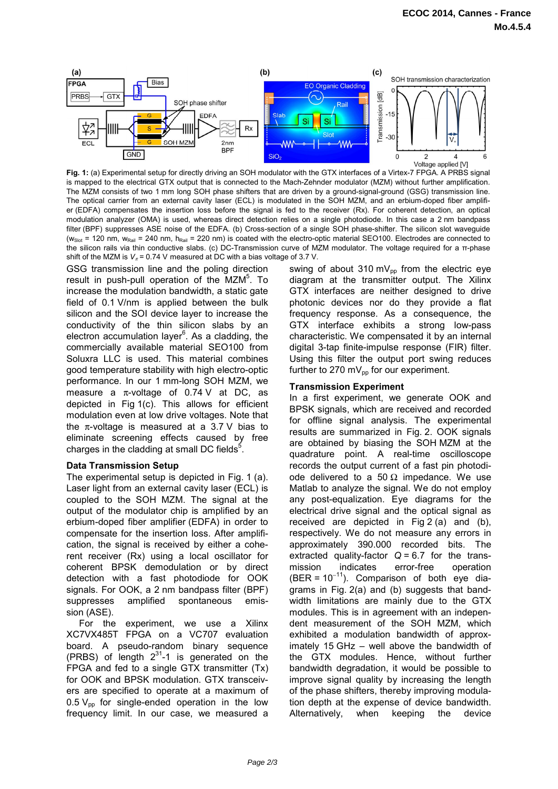

**Fig. 1:** (a) Experimental setup for directly driving an SOH modulator with the GTX interfaces of a Virtex-7 FPGA. A PRBS signal is mapped to the electrical GTX output that is connected to the Mach-Zehnder modulator (MZM) without further amplification. The MZM consists of two 1 mm long SOH phase shifters that are driven by a ground-signal-ground (GSG) transmission line. The optical carrier from an external cavity laser (ECL) is modulated in the SOH MZM, and an erbium-doped fiber amplifier (EDFA) compensates the insertion loss before the signal is fed to the receiver (Rx). For coherent detection, an optical modulation analyzer (OMA) is used, whereas direct detection relies on a single photodiode. In this case a 2 nm bandpass filter (BPF) suppresses ASE noise of the EDFA. (b) Cross-section of a single SOH phase-shifter. The silicon slot waveguide ( $w<sub>Slot</sub> = 120$  nm,  $w<sub>Rail</sub> = 240$  nm,  $h<sub>Rail</sub> = 220$  nm) is coated with the electro-optic material SEO100. Electrodes are connected to the silicon rails via thin conductive slabs. (c) DC-Transmission curve of MZM modulator. The voltage required for a π-phase shift of the MZM is  $V_\pi$  = 0.74 V measured at DC with a bias voltage of 3.7 V.

GSG transmission line and the poling direction result in push-pull operation of the MZM<sup>5</sup>. To increase the modulation bandwidth, a static gate field of 0.1 V/nm is applied between the bulk silicon and the SOI device layer to increase the conductivity of the thin silicon slabs by an electron accumulation layer<sup>6</sup>. As a cladding, the commercially available material SEO100 from Soluxra LLC is used. This material combines good temperature stability with high electro-optic performance. In our 1 mm-long SOH MZM, we measure a  $\pi$ -voltage of 0.74 V at DC, as depicted in Fig 1(c). This allows for efficient modulation even at low drive voltages. Note that the  $\pi$ -voltage is measured at a 3.7 V bias to eliminate screening effects caused by free charges in the cladding at small DC fields $<sup>5</sup>$ .</sup>

## **Data Transmission Setup**

The experimental setup is depicted in Fig. 1 (a). Laser light from an external cavity laser (ECL) is coupled to the SOH MZM. The signal at the output of the modulator chip is amplified by an erbium-doped fiber amplifier (EDFA) in order to compensate for the insertion loss. After amplification, the signal is received by either a coherent receiver (Rx) using a local oscillator for coherent BPSK demodulation or by direct detection with a fast photodiode for OOK signals. For OOK, a 2 nm bandpass filter (BPF) suppresses amplified spontaneous emission (ASE).

 For the experiment, we use a Xilinx XC7VX485T FPGA on a VC707 evaluation board. A pseudo-random binary sequence (PRBS) of length  $2^{31}$ -1 is generated on the FPGA and fed to a single GTX transmitter (Tx) for OOK and BPSK modulation. GTX transceivers are specified to operate at a maximum of 0.5  $V_{\text{op}}$  for single-ended operation in the low frequency limit. In our case, we measured a swing of about 310 mV<sub>pp</sub> from the electric eye diagram at the transmitter output. The Xilinx GTX interfaces are neither designed to drive photonic devices nor do they provide a flat frequency response. As a consequence, the GTX interface exhibits a strong low-pass characteristic. We compensated it by an internal digital 3-tap finite-impulse response (FIR) filter. Using this filter the output port swing reduces further to 270 m $V_{\text{p}}$  for our experiment.

### **Transmission Experiment**

In a first experiment, we generate OOK and BPSK signals, which are received and recorded for offline signal analysis. The experimental results are summarized in Fig. 2. OOK signals are obtained by biasing the SOH MZM at the quadrature point. A real-time oscilloscope records the output current of a fast pin photodiode delivered to a 50  $\Omega$  impedance. We use Matlab to analyze the signal. We do not employ any post-equalization. Eye diagrams for the electrical drive signal and the optical signal as received are depicted in Fig 2 (a) and (b), respectively. We do not measure any errors in approximately 390.000 recorded bits. The extracted quality-factor  $Q = 6.7$  for the transmission indicates error-free operation  $(BER = 10^{-11})$ . Comparison of both eye diagrams in Fig. 2(a) and (b) suggests that bandwidth limitations are mainly due to the GTX modules. This is in agreement with an independent measurement of the SOH MZM, which exhibited a modulation bandwidth of approximately 15 GHz – well above the bandwidth of the GTX modules. Hence, without further bandwidth degradation, it would be possible to improve signal quality by increasing the length of the phase shifters, thereby improving modulation depth at the expense of device bandwidth. Alternatively, when keeping the device